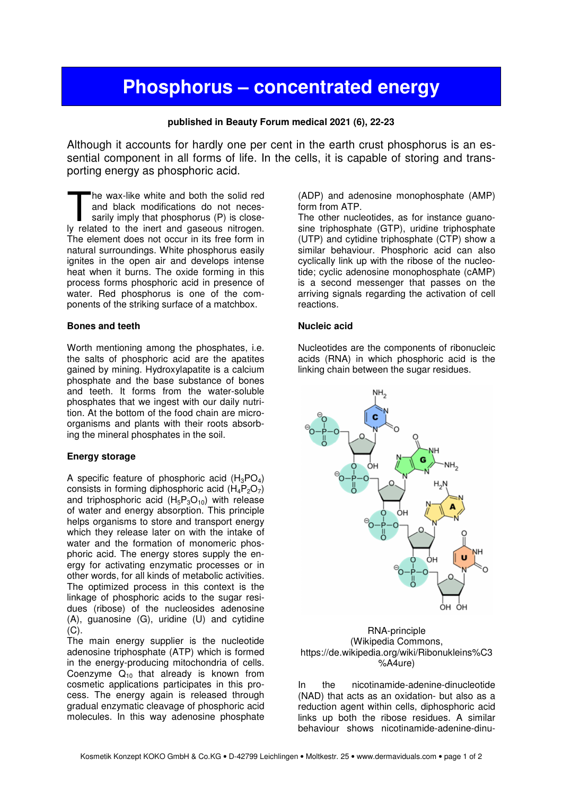# **Phosphorus – concentrated energy**

## **published in Beauty Forum medical 2021 (6), 22-23**

Although it accounts for hardly one per cent in the earth crust phosphorus is an essential component in all forms of life. In the cells, it is capable of storing and transporting energy as phosphoric acid.

he wax-like white and both the solid red and black modifications do not necessarily imply that phosphorus (P) is close-The wax-like white and both the solid red<br>and black modifications do not neces-<br>sarily imply that phosphorus (P) is close-<br>ly related to the inert and gaseous nitrogen. The element does not occur in its free form in natural surroundings. White phosphorus easily ignites in the open air and develops intense heat when it burns. The oxide forming in this process forms phosphoric acid in presence of water. Red phosphorus is one of the components of the striking surface of a matchbox.

#### **Bones and teeth**

Worth mentioning among the phosphates, i.e. the salts of phosphoric acid are the apatites gained by mining. Hydroxylapatite is a calcium phosphate and the base substance of bones and teeth. It forms from the water-soluble phosphates that we ingest with our daily nutrition. At the bottom of the food chain are microorganisms and plants with their roots absorbing the mineral phosphates in the soil.

#### **Energy storage**

A specific feature of phosphoric acid  $(H_3PO_4)$ consists in forming diphosphoric acid  $(H_4P_2O_7)$ and triphosphoric acid  $(H_5P_3O_{10})$  with release of water and energy absorption. This principle helps organisms to store and transport energy which they release later on with the intake of water and the formation of monomeric phosphoric acid. The energy stores supply the energy for activating enzymatic processes or in other words, for all kinds of metabolic activities. The optimized process in this context is the linkage of phosphoric acids to the sugar residues (ribose) of the nucleosides adenosine (A), guanosine (G), uridine (U) and cytidine  $(C)$ .

The main energy supplier is the nucleotide adenosine triphosphate (ATP) which is formed in the energy-producing mitochondria of cells. Coenzyme  $Q_{10}$  that already is known from cosmetic applications participates in this process. The energy again is released through gradual enzymatic cleavage of phosphoric acid molecules. In this way adenosine phosphate

(ADP) and adenosine monophosphate (AMP) form from ATP.

The other nucleotides, as for instance guanosine triphosphate (GTP), uridine triphosphate (UTP) and cytidine triphosphate (CTP) show a similar behaviour. Phosphoric acid can also cyclically link up with the ribose of the nucleotide; cyclic adenosine monophosphate (cAMP) is a second messenger that passes on the arriving signals regarding the activation of cell reactions.

### **Nucleic acid**

Nucleotides are the components of ribonucleic acids (RNA) in which phosphoric acid is the linking chain between the sugar residues.



#### RNA-principle (Wikipedia Commons, https://de.wikipedia.org/wiki/Ribonukleins%C3 %A4ure)

In the nicotinamide-adenine-dinucleotide (NAD) that acts as an oxidation- but also as a reduction agent within cells, diphosphoric acid links up both the ribose residues. A similar behaviour shows nicotinamide-adenine-dinu